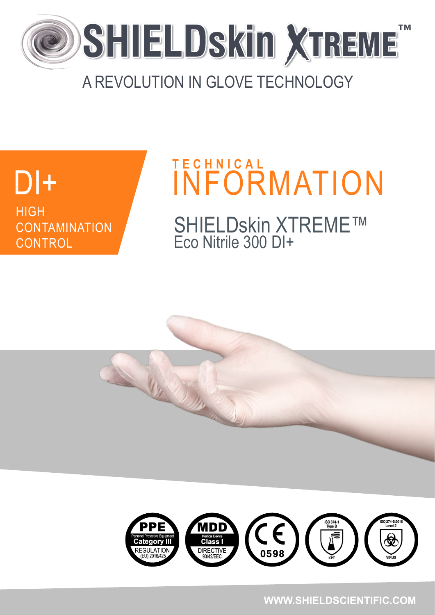

### A REVOLUTION IN GLOVE TECHNOLOGY

# **DI++ HIGH CONTAMINATION**

**CONTROL** 

# DI+ INFORMATION SHIELDskin XTREME™ Eco Nitrile 300 DI+ **T E C H N I C A L**





#### **WWW.SHIELDSCIENTIFIC.COM**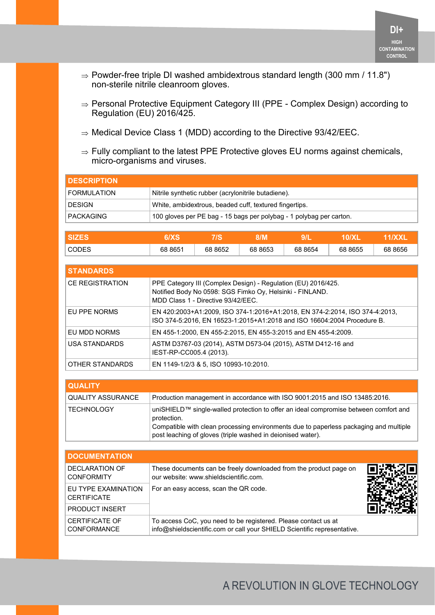- $\Rightarrow$  Powder-free triple DI washed ambidextrous standard length (300 mm / 11.8") non-sterile nitrile cleanroom gloves.
- $\Rightarrow$  Personal Protective Equipment Category III (PPE Complex Design) according to Regulation (EU) 2016/425.
- $\Rightarrow$  Medical Device Class 1 (MDD) according to the Directive 93/42/EEC.
- $\Rightarrow$  Fully compliant to the latest PPE Protective gloves EU norms against chemicals, micro-organisms and viruses.

| <b>I DESCRIPTION</b> |                                                                     |
|----------------------|---------------------------------------------------------------------|
| <b>FORMULATION</b>   | Nitrile synthetic rubber (acrylonitrile butadiene).                 |
| <b>DESIGN</b>        | White, ambidextrous, beaded cuff, textured fingertips.              |
| <b>PACKAGING</b>     | 100 gloves per PE bag - 15 bags per polybag - 1 polybag per carton. |

|              |         | . .     | ,,,,,<br>ועו |         |            |         |
|--------------|---------|---------|--------------|---------|------------|---------|
| <b>CODES</b> | 68 8651 | 68 8652 | 68 8653      | 68 8654 | 8655<br>68 | 68 8656 |

| <b>STANDARDS</b>       |                                                                                                                                                                 |
|------------------------|-----------------------------------------------------------------------------------------------------------------------------------------------------------------|
| <b>CE REGISTRATION</b> | PPE Category III (Complex Design) - Regulation (EU) 2016/425.<br>Notified Body No 0598: SGS Fimko Oy, Helsinki - FINLAND.<br>MDD Class 1 - Directive 93/42/FFC. |
| EU PPE NORMS           | EN 420:2003+A1:2009, ISO 374-1:2016+A1:2018, EN 374-2:2014, ISO 374-4:2013,<br>ISO 374-5:2016, EN 16523-1:2015+A1:2018 and ISO 16604:2004 Procedure B.          |
| EU MDD NORMS           | EN 455-1:2000, EN 455-2:2015, EN 455-3:2015 and EN 455-4:2009.                                                                                                  |
| USA STANDARDS          | ASTM D3767-03 (2014), ASTM D573-04 (2015), ASTM D412-16 and<br>IEST-RP-CC005.4 (2013).                                                                          |
| OTHER STANDARDS        | EN 1149-1/2/3 & 5, ISO 10993-10:2010.                                                                                                                           |

| <b>QUALITY</b>           |                                                                                                                                                                                                                                                             |
|--------------------------|-------------------------------------------------------------------------------------------------------------------------------------------------------------------------------------------------------------------------------------------------------------|
| <b>QUALITY ASSURANCE</b> | Production management in accordance with ISO 9001:2015 and ISO 13485:2016.                                                                                                                                                                                  |
| <b>TECHNOLOGY</b>        | uniSHIELD™ single-walled protection to offer an ideal compromise between comfort and<br>protection.<br>Compatible with clean processing environments due to paperless packaging and multiple<br>post leaching of gloves (triple washed in deionised water). |

| <b>DOCUMENTATION</b>                        |                                                                                                                                            |  |
|---------------------------------------------|--------------------------------------------------------------------------------------------------------------------------------------------|--|
| DECLARATION OF<br><b>CONFORMITY</b>         | These documents can be freely downloaded from the product page on<br>our website: www.shieldscientific.com.                                |  |
| EU TYPE EXAMINATION<br><b>CERTIFICATE</b>   | For an easy access, scan the QR code.                                                                                                      |  |
| <b>PRODUCT INSERT</b>                       |                                                                                                                                            |  |
| <b>CERTIFICATE OF</b><br><b>CONFORMANCE</b> | To access CoC, you need to be registered. Please contact us at<br>info@shieldscientific.com or call your SHIELD Scientific representative. |  |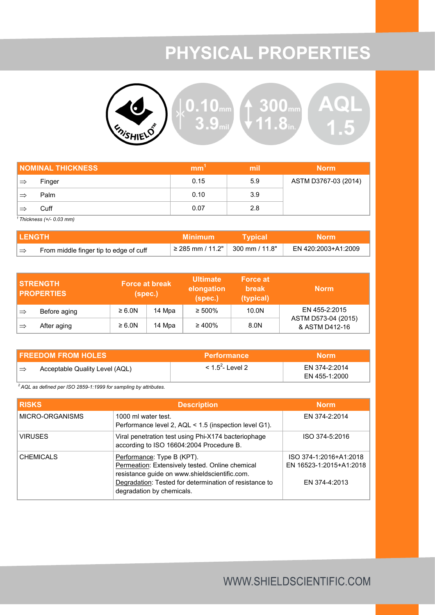## **PHYSICAL PROPERTIES**



|               | <b>NOMINAL THICKNESS</b> | mm   | mil | <b>Norm</b>          |
|---------------|--------------------------|------|-----|----------------------|
| $\Rightarrow$ | Finger                   | 0.15 | 5.9 | ASTM D3767-03 (2014) |
|               | Palm                     | 0.10 | 3.9 |                      |
|               | Cuff                     | 0.07 | 2.8 |                      |

*<sup>1</sup>Thickness (+/- 0.03 mm)*

| I LENGTH |                                        | <b>Minimum</b>                            | <b>Typical</b> | <b>Norm</b>         |
|----------|----------------------------------------|-------------------------------------------|----------------|---------------------|
|          | From middle finger tip to edge of cuff | $\vert$ ≥ 285 mm / 11.2"   300 mm / 11.8" |                | EN 420:2003+A1:2009 |

|               | <b>STRENGTH</b><br><b>PROPERTIES</b> | (spec.)     | <b>Force at break</b> | <b>Ultimate</b><br>elongation<br>(spec.) | <b>Force at</b><br><b>break</b><br>(typical) | <b>Norm</b>                           |
|---------------|--------------------------------------|-------------|-----------------------|------------------------------------------|----------------------------------------------|---------------------------------------|
| ∣⇒            | Before aging                         | $\geq 6.0N$ | 14 Mpa                | $\geq 500\%$                             | 10.0N                                        | EN 455-2:2015                         |
| $\Rightarrow$ | After aging                          | $\geq 6.0N$ | 14 Mpa                | $\geq 400\%$                             | 8.0N                                         | ASTM D573-04 (2015)<br>& ASTM D412-16 |

| <b>FREEDOM FROM HOLES</b>            | <b>Performance</b>             | Morm'                          |
|--------------------------------------|--------------------------------|--------------------------------|
| Acceptable Quality Level (AQL)<br>∣⇒ | $<$ 1.5 <sup>2</sup> - Level 2 | FN 374-2:2014<br>EN 455-1:2000 |

*<sup>2</sup>AQL as defined per ISO 2859-1:1999 for sampling by attributes.*

| <b>RISKS</b>     | <b>Description</b>                                                                                                                                                                                                    | <b>Norm</b>                                                        |
|------------------|-----------------------------------------------------------------------------------------------------------------------------------------------------------------------------------------------------------------------|--------------------------------------------------------------------|
| MICRO-ORGANISMS  | 1000 ml water test.<br>Performance level 2, AQL < 1.5 (inspection level G1).                                                                                                                                          | EN 374-2:2014                                                      |
| <b>VIRUSES</b>   | Viral penetration test using Phi-X174 bacteriophage<br>according to ISO 16604:2004 Procedure B.                                                                                                                       | ISO 374-5:2016                                                     |
| <b>CHEMICALS</b> | Performance: Type B (KPT).<br>Permeation: Extensively tested. Online chemical<br>resistance guide on www.shieldscientific.com.<br>Degradation: Tested for determination of resistance to<br>degradation by chemicals. | ISO 374-1:2016+A1:2018<br>EN 16523-1:2015+A1:2018<br>EN 374-4:2013 |

#### WWW.SHIELDSCIENTIFIC.COM